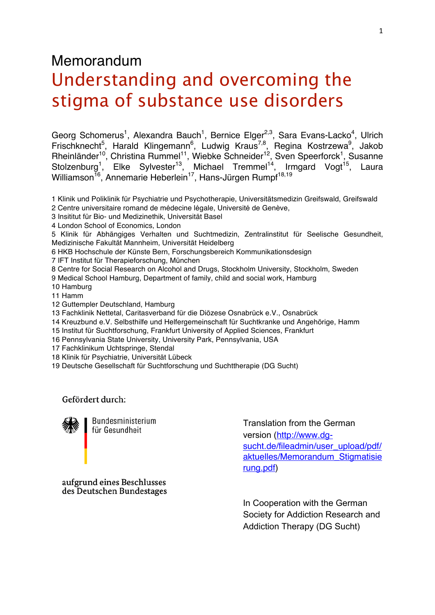# Memorandum

# Understanding and overcoming the stigma of substance use disorders

Georg Schomerus<sup>1</sup>, Alexandra Bauch<sup>1</sup>, Bernice Elger<sup>2,3</sup>, Sara Evans-Lacko<sup>4</sup>, Ulrich Frischknecht<sup>5</sup>, Harald Klingemann<sup>6</sup>, Ludwig Kraus<sup>7,8</sup>, Regina Kostrzewa<sup>9</sup>, Jakob Rheinländer<sup>10</sup>, Christina Rummel<sup>11</sup>, Wiebke Schneider<sup>12</sup>, Sven Speerforck<sup>1</sup>, Susanne Stolzenburg<sup>1</sup>, Elke Sylvester<sup>13</sup>, Michael Tremmel<sup>14</sup>, Irmgard Vogt<sup>15</sup>, Laura Williamson<sup>16</sup>, Annemarie Heberlein<sup>17</sup>, Hans-Jürgen Rumpf<sup>18,19</sup>

- 1 Klinik und Poliklinik für Psychiatrie und Psychotherapie, Universitätsmedizin Greifswald, Greifswald
- 2 Centre universitaire romand de médecine légale, Université de Genève,
- 3 Insititut für Bio- und Medizinethik, Universität Basel
- 4 London School of Economics, London
- 5 Klinik für Abhängiges Verhalten und Suchtmedizin, Zentralinstitut für Seelische Gesundheit, Medizinische Fakultät Mannheim, Universität Heidelberg
- 6 HKB Hochschule der Künste Bern, Forschungsbereich Kommunikationsdesign
- 7 IFT Institut für Therapieforschung, München
- 8 Centre for Social Research on Alcohol and Drugs, Stockholm University, Stockholm, Sweden
- 9 Medical School Hamburg, Department of family, child and social work, Hamburg
- 10 Hamburg
- 11 Hamm
- 12 Guttempler Deutschland, Hamburg
- 13 Fachklinik Nettetal, Caritasverband für die Diözese Osnabrück e.V., Osnabrück
- 14 Kreuzbund e.V. Selbsthilfe und Helfergemeinschaft für Suchtkranke und Angehörige, Hamm
- 15 Institut für Suchtforschung, Frankfurt University of Applied Sciences, Frankfurt
- 16 Pennsylvania State University, University Park, Pennsylvania, USA
- 17 Fachklinikum Uchtspringe, Stendal
- 18 Klinik für Psychiatrie, Universität Lübeck
- 19 Deutsche Gesellschaft für Suchtforschung und Suchttherapie (DG Sucht)

Gefördert durch:



Bundesministerium für Gesundheit

Translation from the German version (http://www.dgsucht.de/fileadmin/user\_upload/pdf/ aktuelles/Memorandum\_Stigmatisie rung.pdf)

aufgrund eines Beschlusses des Deutschen Bundestages

> In Cooperation with the German Society for Addiction Research and Addiction Therapy (DG Sucht)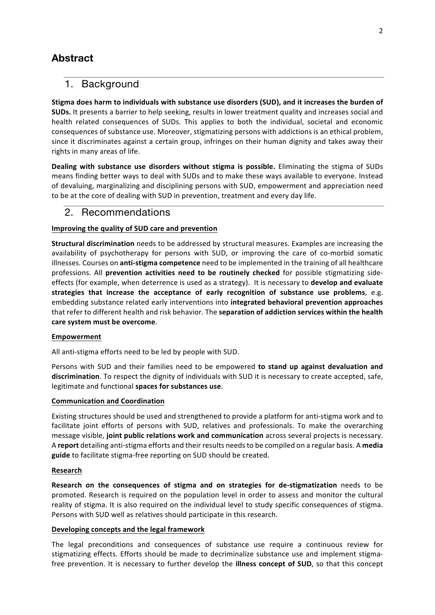# **Abstract**

# 1. Background

**Stigma does harm to individuals with substance use disorders (SUD), and it increases the burden of SUDs.** It presents a barrier to help seeking, results in lower treatment quality and increases social and health related consequences of SUDs. This applies to both the individual, societal and economic consequences of substance use. Moreover, stigmatizing persons with addictions is an ethical problem, since it discriminates against a certain group, infringes on their human dignity and takes away their rights in many areas of life.

**Dealing with substance use disorders without stigma is possible.** Eliminating the stigma of SUDs means finding better ways to deal with SUDs and to make these ways available to everyone. Instead of devaluing, marginalizing and disciplining persons with SUD, empowerment and appreciation need to be at the core of dealing with SUD in prevention, treatment and every day life.

# 2. Recommendations

### **Improving the quality of SUD care and prevention**

**Structural discrimination** needs to be addressed by structural measures. Examples are increasing the availability of psychotherapy for persons with SUD, or improving the care of co-morbid somatic illnesses. Courses on **anti-stigma competence** need to be implemented in the training of all healthcare professions. All **prevention activities need to be routinely checked** for possible stigmatizing sideeffects (for example, when deterrence is used as a strategy). It is necessary to **develop and evaluate strategies that increase the acceptance of early recognition of substance use problems**, e.g. embedding substance related early interventions into **integrated behavioral prevention approaches** that refer to different health and risk behavior. The **separation of addiction services within the health care system must be overcome**.

### **Empowerment**

All anti-stigma efforts need to be led by people with SUD.

Persons with SUD and their families need to be empowered **to stand up against devaluation and discrimination**. To respect the dignity of individuals with SUD it is necessary to create accepted, safe, legitimate and functional **spaces for substances use**.

### **Communication and Coordination**

Existing structures should be used and strengthened to provide a platform for anti-stigma work and to facilitate joint efforts of persons with SUD, relatives and professionals. To make the overarching message visible, **joint public relations work and communication** across several projects is necessary. A **report** detailing anti-stigma efforts and their results needsto be compiled on a regular basis. A **media guide** to facilitate stigma-free reporting on SUD should be created.

#### **Research**

**Research on the consequences of stigma and on strategies for de-stigmatization** needs to be promoted. Research is required on the population level in order to assess and monitor the cultural reality of stigma. It is also required on the individual level to study specific consequences of stigma. Persons with SUD well as relatives should participate in this research.

### **Developing concepts and the legal framework**

The legal preconditions and consequences of substance use require a continuous review for stigmatizing effects. Efforts should be made to decriminalize substance use and implement stigmafree prevention. It is necessary to further develop the **illness concept of SUD**, so that this concept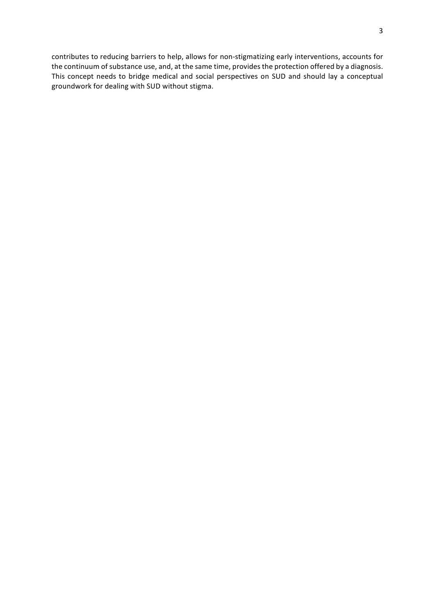contributes to reducing barriers to help, allows for non-stigmatizing early interventions, accounts for the continuum of substance use, and, at the same time, provides the protection offered by a diagnosis. This concept needs to bridge medical and social perspectives on SUD and should lay a conceptual groundwork for dealing with SUD without stigma.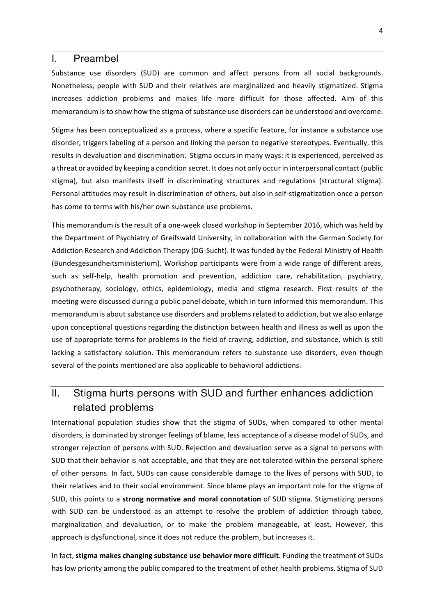### I. Preambel

Substance use disorders (SUD) are common and affect persons from all social backgrounds. Nonetheless, people with SUD and their relatives are marginalized and heavily stigmatized. Stigma increases addiction problems and makes life more difficult for those affected. Aim of this memorandum is to show how the stigma of substance use disorders can be understood and overcome.

Stigma has been conceptualized as a process, where a specific feature, for instance a substance use disorder, triggers labeling of a person and linking the person to negative stereotypes. Eventually, this results in devaluation and discrimination. Stigma occurs in many ways: it is experienced, perceived as a threat or avoided by keeping a condition secret. It does not only occur in interpersonal contact (public stigma), but also manifests itself in discriminating structures and regulations (structural stigma). Personal attitudes may result in discrimination of others, but also in self-stigmatization once a person has come to terms with his/her own substance use problems.

This memorandum is the result of a one-week closed workshop in September 2016, which was held by the Department of Psychiatry of Greifswald University, in collaboration with the German Society for Addiction Research and Addiction Therapy (DG-Sucht). It was funded by the Federal Ministry of Health (Bundesgesundheitsministerium). Workshop participants were from a wide range of different areas, such as self-help, health promotion and prevention, addiction care, rehabilitation, psychiatry, psychotherapy, sociology, ethics, epidemiology, media and stigma research. First results of the meeting were discussed during a public panel debate, which in turn informed this memorandum. This memorandum is about substance use disorders and problems related to addiction, but we also enlarge upon conceptional questions regarding the distinction between health and illness as well as upon the use of appropriate terms for problems in the field of craving, addiction, and substance, which is still lacking a satisfactory solution. This memorandum refers to substance use disorders, even though several of the points mentioned are also applicable to behavioral addictions.

# II. Stigma hurts persons with SUD and further enhances addiction related problems

International population studies show that the stigma of SUDs, when compared to other mental disorders, is dominated by stronger feelings of blame, less acceptance of a disease model of SUDs, and stronger rejection of persons with SUD. Rejection and devaluation serve as a signal to persons with SUD that their behavior is not acceptable, and that they are not tolerated within the personal sphere of other persons. In fact, SUDs can cause considerable damage to the lives of persons with SUD, to their relatives and to their social environment. Since blame plays an important role for the stigma of SUD, this points to a **strong normative and moral connotation** of SUD stigma. Stigmatizing persons with SUD can be understood as an attempt to resolve the problem of addiction through taboo, marginalization and devaluation, or to make the problem manageable, at least. However, this approach is dysfunctional, since it does not reduce the problem, but increases it.

In fact, **stigma makes changing substance use behavior more difficult**. Funding the treatment of SUDs has low priority among the public compared to the treatment of other health problems. Stigma of SUD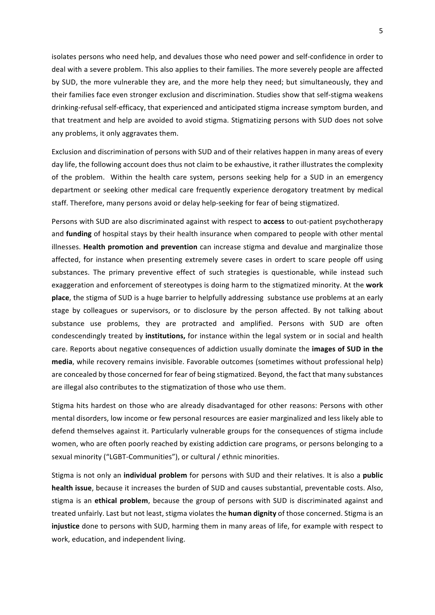isolates persons who need help, and devalues those who need power and self-confidence in order to deal with a severe problem. This also applies to their families. The more severely people are affected by SUD, the more vulnerable they are, and the more help they need; but simultaneously, they and their families face even stronger exclusion and discrimination. Studies show that self-stigma weakens drinking-refusal self-efficacy, that experienced and anticipated stigma increase symptom burden, and that treatment and help are avoided to avoid stigma. Stigmatizing persons with SUD does not solve any problems, it only aggravates them.

Exclusion and discrimination of persons with SUD and of their relatives happen in many areas of every day life, the following account does thus not claim to be exhaustive, it rather illustrates the complexity of the problem. Within the health care system, persons seeking help for a SUD in an emergency department or seeking other medical care frequently experience derogatory treatment by medical staff. Therefore, many persons avoid or delay help-seeking for fear of being stigmatized.

Persons with SUD are also discriminated against with respect to **access** to out-patient psychotherapy and **funding** of hospital stays by their health insurance when compared to people with other mental illnesses. **Health promotion and prevention** can increase stigma and devalue and marginalize those affected, for instance when presenting extremely severe cases in ordert to scare people off using substances. The primary preventive effect of such strategies is questionable, while instead such exaggeration and enforcement of stereotypes is doing harm to the stigmatized minority. At the **work** place, the stigma of SUD is a huge barrier to helpfully addressing substance use problems at an early stage by colleagues or supervisors, or to disclosure by the person affected. By not talking about substance use problems, they are protracted and amplified. Persons with SUD are often condescendingly treated by **institutions,** for instance within the legal system or in social and health care. Reports about negative consequences of addiction usually dominate the **images of SUD in the media**, while recovery remains invisible. Favorable outcomes (sometimes without professional help) are concealed by those concerned for fear of being stigmatized. Beyond, the fact that many substances are illegal also contributes to the stigmatization of those who use them.

Stigma hits hardest on those who are already disadvantaged for other reasons: Persons with other mental disorders, low income or few personal resources are easier marginalized and less likely able to defend themselves against it. Particularly vulnerable groups for the consequences of stigma include women, who are often poorly reached by existing addiction care programs, or persons belonging to a sexual minority ("LGBT-Communities"), or cultural / ethnic minorities.

Stigma is not only an **individual problem** for persons with SUD and their relatives. It is also a **public health issue**, because it increases the burden of SUD and causes substantial, preventable costs. Also, stigma is an **ethical problem**, because the group of persons with SUD is discriminated against and treated unfairly. Last but not least, stigma violates the **human dignity** of those concerned. Stigma is an **injustice** done to persons with SUD, harming them in many areas of life, for example with respect to work, education, and independent living.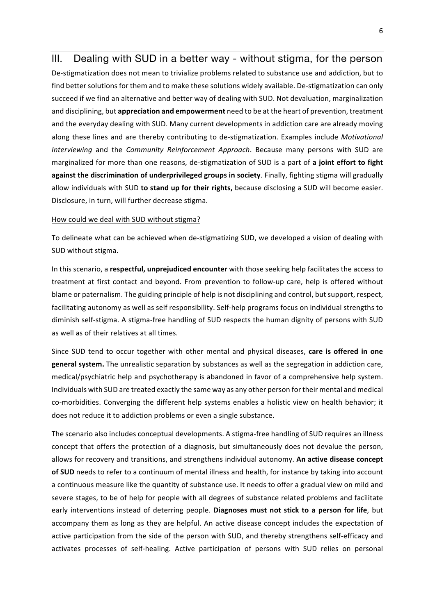## III. Dealing with SUD in a better way - without stigma, for the person

De-stigmatization does not mean to trivialize problems related to substance use and addiction, but to find better solutions for them and to make these solutions widely available. De-stigmatization can only succeed if we find an alternative and better way of dealing with SUD. Not devaluation, marginalization and disciplining, but **appreciation and empowerment** need to be at the heart of prevention, treatment and the everyday dealing with SUD. Many current developments in addiction care are already moving along these lines and are thereby contributing to de-stigmatization. Examples include *Motivational Interviewing* and the *Community Reinforcement Approach*. Because many persons with SUD are marginalized for more than one reasons, de-stigmatization of SUD is a part of **a joint effort to fight against the discrimination of underprivileged groups in society**. Finally, fighting stigma will gradually allow individuals with SUD **to stand up for their rights,** because disclosing a SUD will become easier. Disclosure, in turn, will further decrease stigma.

#### How could we deal with SUD without stigma?

To delineate what can be achieved when de-stigmatizing SUD, we developed a vision of dealing with SUD without stigma.

In this scenario, a **respectful, unprejudiced encounter** with those seeking help facilitates the access to treatment at first contact and beyond. From prevention to follow-up care, help is offered without blame or paternalism. The guiding principle of help is not disciplining and control, butsupport, respect, facilitating autonomy as well as self responsibility. Self-help programs focus on individual strengths to diminish self-stigma. A stigma-free handling of SUD respects the human dignity of persons with SUD as well as of their relatives at all times.

Since SUD tend to occur together with other mental and physical diseases, **care is offered in one general system.** The unrealistic separation by substances as well as the segregation in addiction care, medical/psychiatric help and psychotherapy is abandoned in favor of a comprehensive help system. Individuals with SUD are treated exactly the same way as any other person for their mental and medical co-morbidities. Converging the different help systems enables a holistic view on health behavior; it does not reduce it to addiction problems or even a single substance.

The scenario also includes conceptual developments. A stigma-free handling of SUD requires an illness concept that offers the protection of a diagnosis, but simultaneously does not devalue the person, allows for recovery and transitions, and strengthens individual autonomy. **An active disease concept of SUD** needs to refer to a continuum of mental illness and health, for instance by taking into account a continuous measure like the quantity of substance use. It needs to offer a gradual view on mild and severe stages, to be of help for people with all degrees of substance related problems and facilitate early interventions instead of deterring people. **Diagnoses must not stick to a person for life**, but accompany them as long as they are helpful. An active disease concept includes the expectation of active participation from the side of the person with SUD, and thereby strengthens self-efficacy and activates processes of self-healing. Active participation of persons with SUD relies on personal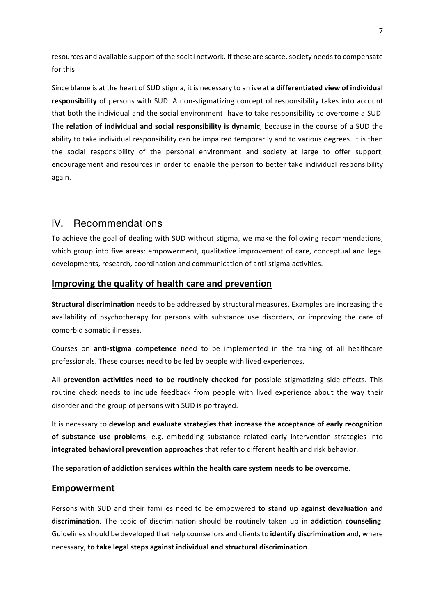resources and available support of the social network. If these are scarce, society needs to compensate for this. 

Since blame is at the heart of SUD stigma, it is necessary to arrive at **a differentiated view of individual responsibility** of persons with SUD. A non-stigmatizing concept of responsibility takes into account that both the individual and the social environment have to take responsibility to overcome a SUD. The **relation of individual and social responsibility is dynamic**, because in the course of a SUD the ability to take individual responsibility can be impaired temporarily and to various degrees. It is then the social responsibility of the personal environment and society at large to offer support, encouragement and resources in order to enable the person to better take individual responsibility again.

# IV. Recommendations

To achieve the goal of dealing with SUD without stigma, we make the following recommendations, which group into five areas: empowerment, qualitative improvement of care, conceptual and legal developments, research, coordination and communication of anti-stigma activities.

# **Improving the quality of health care and prevention**

**Structural discrimination** needs to be addressed by structural measures. Examples are increasing the availability of psychotherapy for persons with substance use disorders, or improving the care of comorbid somatic illnesses.

Courses on **anti-stigma competence** need to be implemented in the training of all healthcare professionals. These courses need to be led by people with lived experiences.

All **prevention activities need to be routinely checked for** possible stigmatizing side-effects. This routine check needs to include feedback from people with lived experience about the way their disorder and the group of persons with SUD is portrayed.

It is necessary to **develop and evaluate strategies that increase the acceptance of early recognition of substance use problems**, e.g. embedding substance related early intervention strategies into **integrated behavioral prevention approaches** that refer to different health and risk behavior.

The **separation of addiction services within the health care system needs to be overcome**.

### **Empowerment**

Persons with SUD and their families need to be empowered **to stand up against devaluation and discrimination**. The topic of discrimination should be routinely taken up in **addiction counseling**. Guidelinesshould be developed that help counsellors and clientsto **identify discrimination** and, where necessary, **to take legal steps against individual and structural discrimination**.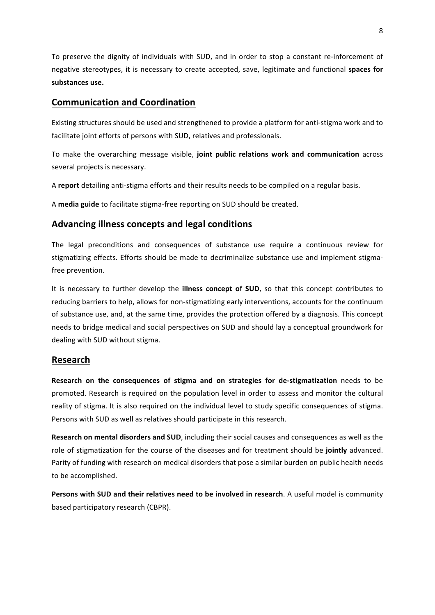To preserve the dignity of individuals with SUD, and in order to stop a constant re-inforcement of negative stereotypes, it is necessary to create accepted, save, legitimate and functional **spaces for substances use.**

# **Communication and Coordination**

Existing structures should be used and strengthened to provide a platform for anti-stigma work and to facilitate joint efforts of persons with SUD, relatives and professionals.

To make the overarching message visible, **joint public relations work and communication** across several projects is necessary.

A **report** detailing anti-stigma efforts and their results needs to be compiled on a regular basis.

A **media guide** to facilitate stigma-free reporting on SUD should be created.

# **Advancing illness concepts and legal conditions**

The legal preconditions and consequences of substance use require a continuous review for stigmatizing effects. Efforts should be made to decriminalize substance use and implement stigmafree prevention.

It is necessary to further develop the **illness concept of SUD**, so that this concept contributes to reducing barriers to help, allows for non-stigmatizing early interventions, accounts for the continuum of substance use, and, at the same time, provides the protection offered by a diagnosis. This concept needs to bridge medical and social perspectives on SUD and should lay a conceptual groundwork for dealing with SUD without stigma.

### **Research**

**Research on the consequences of stigma and on strategies for de-stigmatization** needs to be promoted. Research is required on the population level in order to assess and monitor the cultural reality of stigma. It is also required on the individual level to study specific consequences of stigma. Persons with SUD as well as relatives should participate in this research.

**Research on mental disorders and SUD**, including their social causes and consequences as well as the role of stigmatization for the course of the diseases and for treatment should be **jointly** advanced. Parity of funding with research on medical disorders that pose a similar burden on public health needs to be accomplished.

**Persons with SUD and their relatives need to be involved in research**. A useful model is community based participatory research (CBPR).